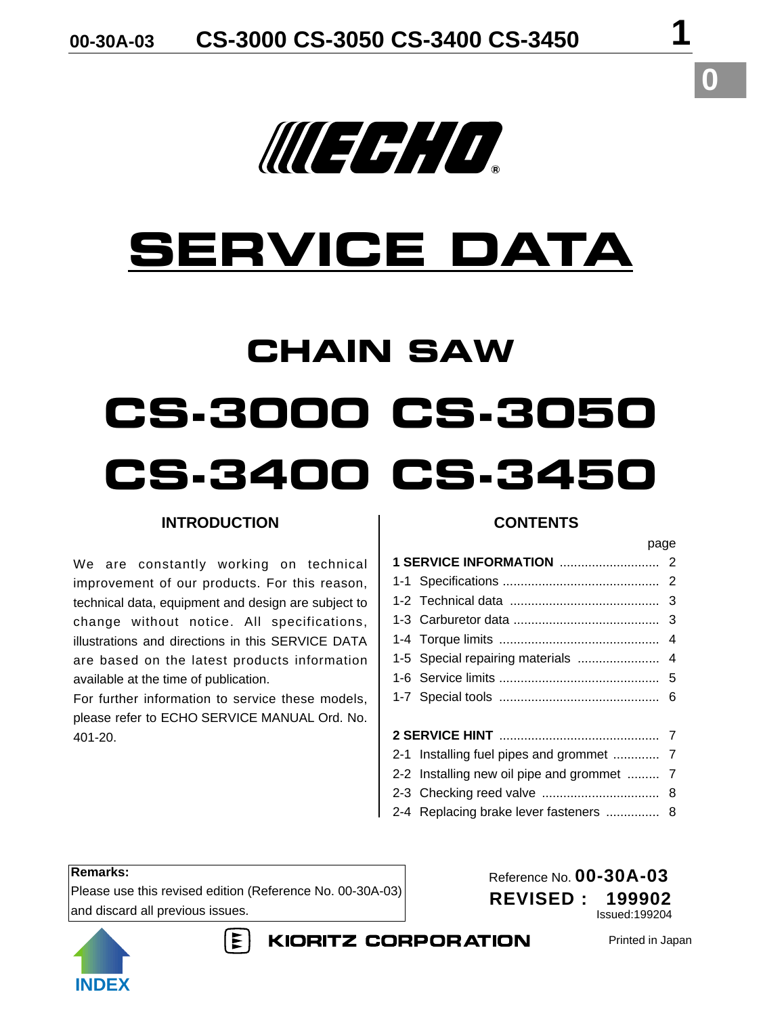# WEEHHD.

# **SERVICE DATA**

# **CHAIN SAW CS-3000 CS-3050 CS-3400 CS-3450**

# **INTRODUCTION**

We are constantly working on technical improvement of our products. For this reason, technical data, equipment and design are subject to change without notice. All specifications, illustrations and directions in this SERVICE DATA are based on the latest products information available at the time of publication.

For further information to service these models, please refer to ECHO SERVICE MANUAL Ord. No. 401-20.

## **CONTENTS**

| payu                                       |  |
|--------------------------------------------|--|
|                                            |  |
|                                            |  |
|                                            |  |
|                                            |  |
|                                            |  |
|                                            |  |
|                                            |  |
|                                            |  |
|                                            |  |
|                                            |  |
| 2-1 Installing fuel pipes and grommet  7   |  |
| 2-2 Installing new oil pipe and grommet  7 |  |
|                                            |  |
| 2-4 Replacing brake lever fasteners  8     |  |

#### **Remarks:**

Please use this revised edition (Reference No. 00-30A-03) and discard all previous issues.

Reference No. **00-30A-03 REVISED : 199902** Issued:199204



 $\mathsf{E}$ **KIORITZ CORPORATION**  Printed in Japan

page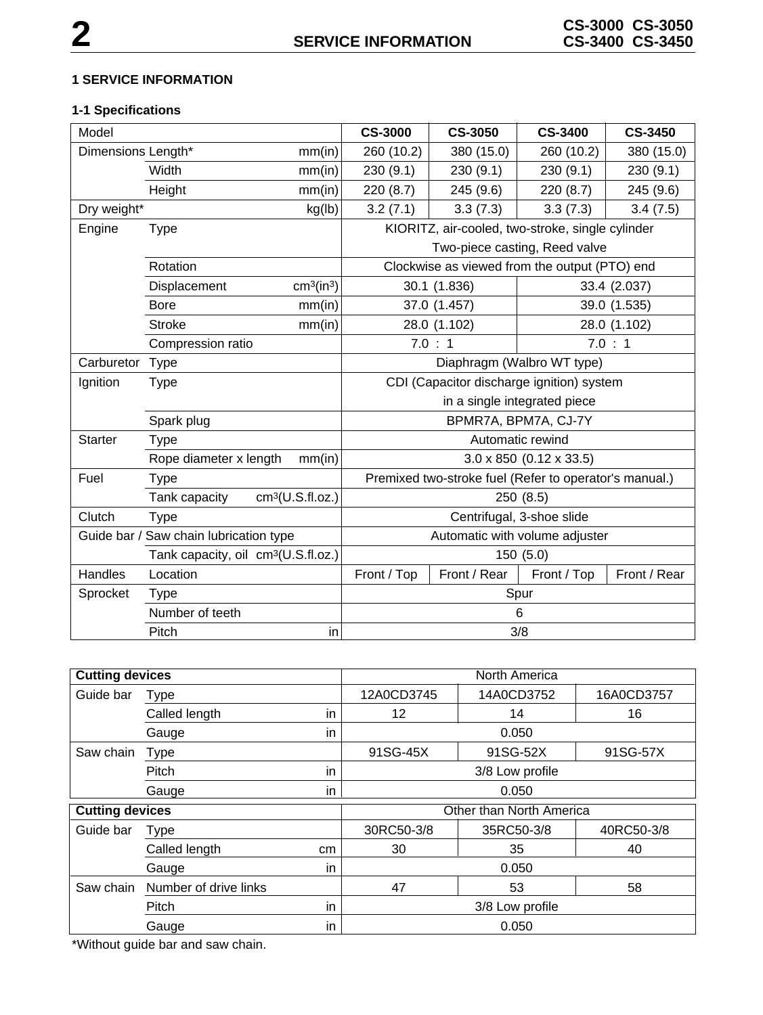#### **1 SERVICE INFORMATION**

# **1-1 Specifications**

| Model                                  |                                                 |                                    | <b>CS-3000</b>                 | <b>CS-3050</b>                                         | <b>CS-3400</b>                        | <b>CS-3450</b> |
|----------------------------------------|-------------------------------------------------|------------------------------------|--------------------------------|--------------------------------------------------------|---------------------------------------|----------------|
| Dimensions Length*<br>mm(in)           |                                                 | 260 (10.2)                         | 380 (15.0)                     | 260 (10.2)                                             | 380 (15.0)                            |                |
|                                        | Width                                           | mm(in)                             | 230(9.1)                       | 230(9.1)                                               | 230 (9.1)                             | 230(9.1)       |
|                                        | Height                                          | mm(in)                             | 220 (8.7)                      | 245 (9.6)                                              | 220 (8.7)                             | 245 (9.6)      |
| Dry weight*                            |                                                 | kg(lb)                             | 3.2(7.1)                       | 3.3(7.3)                                               | 3.3(7.3)                              | 3.4(7.5)       |
| Engine                                 | <b>Type</b>                                     |                                    |                                | KIORITZ, air-cooled, two-stroke, single cylinder       |                                       |                |
|                                        |                                                 |                                    |                                |                                                        | Two-piece casting, Reed valve         |                |
|                                        | Rotation                                        |                                    |                                | Clockwise as viewed from the output (PTO) end          |                                       |                |
|                                        | Displacement                                    | cm <sup>3</sup> (in <sup>3</sup> ) |                                | 30.1 (1.836)                                           |                                       | 33.4 (2.037)   |
|                                        | <b>Bore</b>                                     | mm(in)                             |                                | 37.0 (1.457)                                           |                                       | 39.0 (1.535)   |
|                                        | Stroke                                          | mm(in)                             |                                | 28.0 (1.102)                                           |                                       | 28.0 (1.102)   |
|                                        | Compression ratio                               |                                    |                                | 7.0 : 1                                                |                                       | 7.0 : 1        |
| Carburetor                             | Type                                            |                                    | Diaphragm (Walbro WT type)     |                                                        |                                       |                |
| Ignition                               | <b>Type</b>                                     |                                    |                                | CDI (Capacitor discharge ignition) system              |                                       |                |
|                                        |                                                 |                                    |                                |                                                        | in a single integrated piece          |                |
|                                        | Spark plug                                      |                                    |                                |                                                        | BPMR7A, BPM7A, CJ-7Y                  |                |
| <b>Starter</b>                         | <b>Type</b>                                     |                                    |                                |                                                        | Automatic rewind                      |                |
|                                        | Rope diameter x length                          | mm(in)                             |                                |                                                        | $3.0 \times 850$ (0.12 $\times$ 33.5) |                |
| Fuel                                   | <b>Type</b>                                     |                                    |                                | Premixed two-stroke fuel (Refer to operator's manual.) |                                       |                |
|                                        | Tank capacity                                   | cm <sup>3</sup> (U.S.fI.oz.)       |                                |                                                        | 250 (8.5)                             |                |
| Clutch                                 | <b>Type</b>                                     |                                    | Centrifugal, 3-shoe slide      |                                                        |                                       |                |
| Guide bar / Saw chain lubrication type |                                                 |                                    | Automatic with volume adjuster |                                                        |                                       |                |
|                                        | Tank capacity, oil cm <sup>3</sup> (U.S.fl.oz.) |                                    |                                |                                                        | 150 (5.0)                             |                |
| Handles                                | Location                                        |                                    | Front / Top                    | Front / Rear                                           | Front / Top                           | Front / Rear   |
| Sprocket                               | <b>Type</b>                                     |                                    | Spur                           |                                                        |                                       |                |
|                                        | Number of teeth                                 |                                    |                                |                                                        | 6                                     |                |
|                                        | Pitch                                           | in                                 |                                |                                                        | 3/8                                   |                |

| <b>Cutting devices</b> |                       |    |                          | North America   |            |  |
|------------------------|-----------------------|----|--------------------------|-----------------|------------|--|
| Guide bar              | Type                  |    | 12A0CD3745               | 14A0CD3752      | 16A0CD3757 |  |
|                        | Called length         | in | 12                       | 14              | 16         |  |
|                        | Gauge                 | in |                          | 0.050           |            |  |
| Saw chain              | <b>Type</b>           |    | 91SG-45X                 | 91SG-52X        | 91SG-57X   |  |
|                        | Pitch                 | in |                          | 3/8 Low profile |            |  |
|                        | Gauge                 | in |                          | 0.050           |            |  |
| <b>Cutting devices</b> |                       |    | Other than North America |                 |            |  |
| Guide bar              | <b>Type</b>           |    | 30RC50-3/8               | 35RC50-3/8      | 40RC50-3/8 |  |
|                        | Called length         | cm | 30                       | 35              | 40         |  |
|                        | Gauge                 | in |                          | 0.050           |            |  |
| Saw chain              | Number of drive links |    | 47                       | 53              | 58         |  |
|                        | Pitch                 | in |                          | 3/8 Low profile |            |  |
|                        | Gauge                 | in |                          | 0.050           |            |  |

\*Without guide bar and saw chain.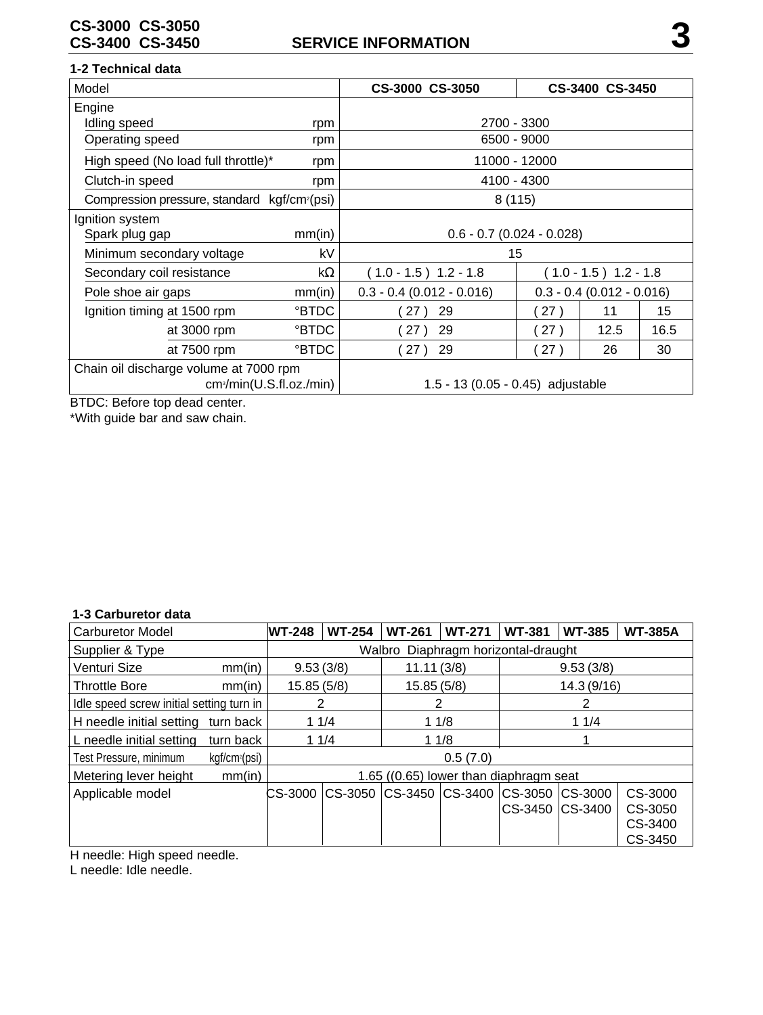#### **1-2 Technical data**

| Model                                                    |                                      | CS-3000 CS-3050                   |                             | CS-3400 CS-3450 |      |
|----------------------------------------------------------|--------------------------------------|-----------------------------------|-----------------------------|-----------------|------|
| Engine                                                   |                                      |                                   |                             |                 |      |
| Idling speed                                             | rpm                                  | 2700 - 3300                       |                             |                 |      |
| Operating speed                                          | rpm                                  | 6500 - 9000                       |                             |                 |      |
| High speed (No load full throttle)*                      | rpm                                  |                                   | 11000 - 12000               |                 |      |
| Clutch-in speed                                          | rpm                                  | 4100 - 4300                       |                             |                 |      |
| Compression pressure, standard kgf/cm <sup>2</sup> (psi) |                                      | 8(115)                            |                             |                 |      |
| Ignition system                                          |                                      |                                   |                             |                 |      |
| Spark plug gap                                           | mm(in)                               | $0.6 - 0.7$ (0.024 - 0.028)       |                             |                 |      |
| kV<br>Minimum secondary voltage                          |                                      | 15                                |                             |                 |      |
| kΩ<br>Secondary coil resistance                          |                                      | $(1.0 - 1.5)$ 1.2 - 1.8           | $(1.0 - 1.5)$ 1.2 - 1.8     |                 |      |
| mm(in)<br>Pole shoe air gaps                             |                                      | $0.3 - 0.4$ (0.012 - 0.016)       | $0.3 - 0.4$ (0.012 - 0.016) |                 |      |
| Ignition timing at 1500 rpm                              | °BTDC                                | 29<br>27)                         | 27)                         | 11              | 15   |
| at 3000 rpm                                              | <b>PBTDC</b>                         | 29<br>27)                         | (27)                        | 12.5            | 16.5 |
| at 7500 rpm                                              | <b>PBTDC</b>                         | 29<br>27                          | 27)                         | 26              | 30   |
| Chain oil discharge volume at 7000 rpm                   | cm <sub>3</sub> /min(U.S.fI.oz./min) | 1.5 - 13 (0.05 - 0.45) adjustable |                             |                 |      |

BTDC: Before top dead center.

\*With guide bar and saw chain.

### **1-3 Carburetor data**

| <u>o oarbarctor aata</u>                 |                           |                                        |                                        |               |               |               |                           |                |
|------------------------------------------|---------------------------|----------------------------------------|----------------------------------------|---------------|---------------|---------------|---------------------------|----------------|
| <b>Carburetor Model</b>                  |                           | <b>WT-248</b>                          | <b>WT-254</b>                          | <b>WT-261</b> | <b>WT-271</b> | <b>WT-381</b> | <b>WT-385</b>             | <b>WT-385A</b> |
| Supplier & Type                          |                           |                                        | Diaphragm horizontal-draught<br>Walbro |               |               |               |                           |                |
| Venturi Size                             | mm(in)                    | 9.53(3/8)                              |                                        | 11.11(3/8)    |               |               | 9.53(3/8)                 |                |
| <b>Throttle Bore</b>                     | mm(in)                    | 15.85(5/8)                             |                                        | 15.85(5/8)    |               |               | 14.3 (9/16)               |                |
| Idle speed screw initial setting turn in |                           | 2                                      |                                        |               |               |               |                           |                |
| H needle initial setting                 | turn back                 | 11/4                                   |                                        | 11/8          |               |               | 11/4                      |                |
| L needle initial setting                 | turn back                 | 11/4                                   |                                        | 11/8          |               |               |                           |                |
| Test Pressure, minimum                   | kgf/cm <sup>2</sup> (psi) | 0.5(7.0)                               |                                        |               |               |               |                           |                |
| Metering lever height                    | mm(in)                    | 1.65 ((0.65) lower than diaphragm seat |                                        |               |               |               |                           |                |
| Applicable model                         |                           | CS-3000                                | CS-3050                                | CS-3450       | CS-3400       | CS-3050       | $\mathsf{CS}\text{-}3000$ | CS-3000        |
|                                          |                           |                                        |                                        |               |               |               | CS-3450 CS-3400           | CS-3050        |
|                                          |                           |                                        |                                        |               |               |               |                           | CS-3400        |
|                                          |                           |                                        |                                        |               |               |               |                           | CS-3450        |

H needle: High speed needle.

L needle: Idle needle.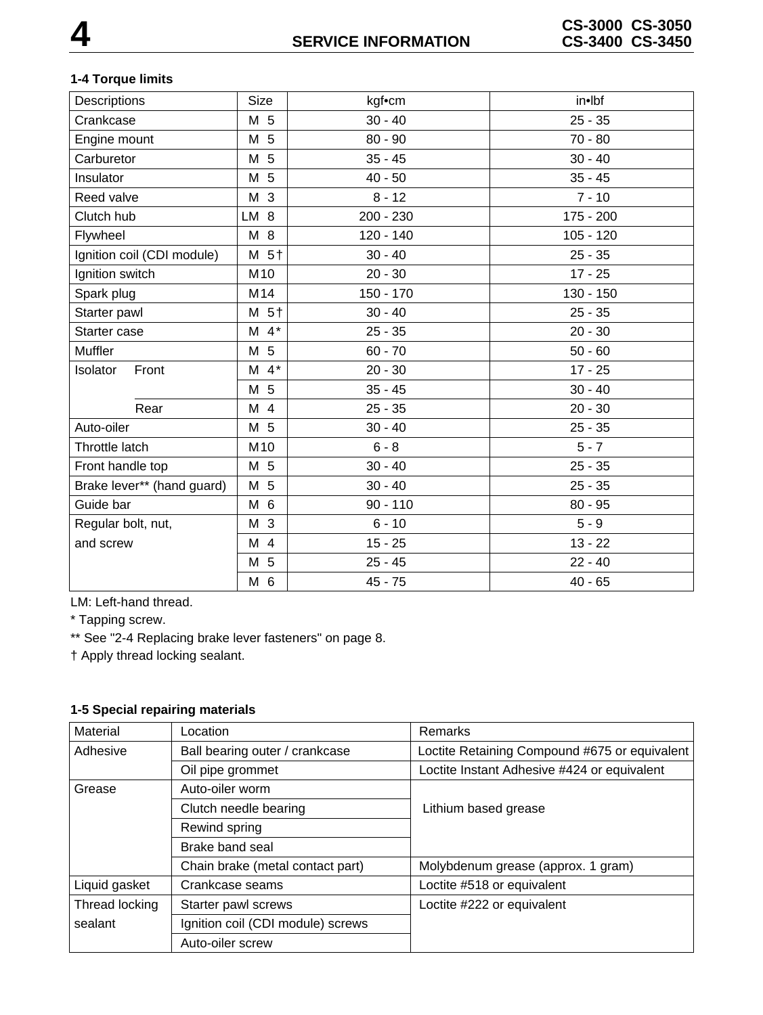# **1-4 Torque limits**

| Descriptions               | <b>Size</b>        | kgf•cm      | in•lbf      |
|----------------------------|--------------------|-------------|-------------|
| Crankcase                  | M 5                | $30 - 40$   | $25 - 35$   |
| Engine mount               | M 5                | $80 - 90$   | $70 - 80$   |
| Carburetor                 | M 5                | $35 - 45$   | $30 - 40$   |
| Insulator                  | M 5                | $40 - 50$   | $35 - 45$   |
| Reed valve                 | M 3                | $8 - 12$    | $7 - 10$    |
| Clutch hub                 | LM 8               | 200 - 230   | 175 - 200   |
| Flywheel                   | M 8                | 120 - 140   | $105 - 120$ |
| Ignition coil (CDI module) | M 5+               | $30 - 40$   | $25 - 35$   |
| Ignition switch            | M10                | $20 - 30$   | $17 - 25$   |
| Spark plug                 | M14                | $150 - 170$ | $130 - 150$ |
| Starter pawl               | M 5+               | $30 - 40$   | $25 - 35$   |
| Starter case               | $M$ 4 <sup>*</sup> | $25 - 35$   | $20 - 30$   |
| Muffler                    | M 5                | $60 - 70$   | $50 - 60$   |
| Isolator<br>Front          | $M$ 4*             | $20 - 30$   | $17 - 25$   |
|                            | M 5                | $35 - 45$   | $30 - 40$   |
| Rear                       | M 4                | $25 - 35$   | $20 - 30$   |
| Auto-oiler                 | M 5                | $30 - 40$   | $25 - 35$   |
| Throttle latch             | M10                | $6 - 8$     | $5 - 7$     |
| Front handle top           | M 5                | $30 - 40$   | $25 - 35$   |
| Brake lever** (hand guard) | M 5                | $30 - 40$   | $25 - 35$   |
| Guide bar                  | M 6                | $90 - 110$  | $80 - 95$   |
| Regular bolt, nut,         | M 3                | $6 - 10$    | $5 - 9$     |
| and screw                  | M 4                | $15 - 25$   | $13 - 22$   |
|                            | M 5                | $25 - 45$   | $22 - 40$   |
|                            | M 6                | $45 - 75$   | $40 - 65$   |
|                            |                    |             |             |

LM: Left-hand thread.

\* Tapping screw.

\*\* See "2-4 Replacing brake lever fasteners" on page 8.

† Apply thread locking sealant.

# **1-5 Special repairing materials**

| Material                              | Location                          | Remarks                                       |  |
|---------------------------------------|-----------------------------------|-----------------------------------------------|--|
| Adhesive                              | Ball bearing outer / crankcase    | Loctite Retaining Compound #675 or equivalent |  |
|                                       | Oil pipe grommet                  | Loctite Instant Adhesive #424 or equivalent   |  |
| Grease                                | Auto-oiler worm                   |                                               |  |
|                                       | Clutch needle bearing             | Lithium based grease                          |  |
|                                       | Rewind spring                     |                                               |  |
|                                       | Brake band seal                   |                                               |  |
|                                       | Chain brake (metal contact part)  | Molybdenum grease (approx. 1 gram)            |  |
| Liquid gasket                         | Crankcase seams                   | Loctite #518 or equivalent                    |  |
| Thread locking<br>Starter pawl screws |                                   | Loctite #222 or equivalent                    |  |
| sealant                               | Ignition coil (CDI module) screws |                                               |  |
|                                       | Auto-oiler screw                  |                                               |  |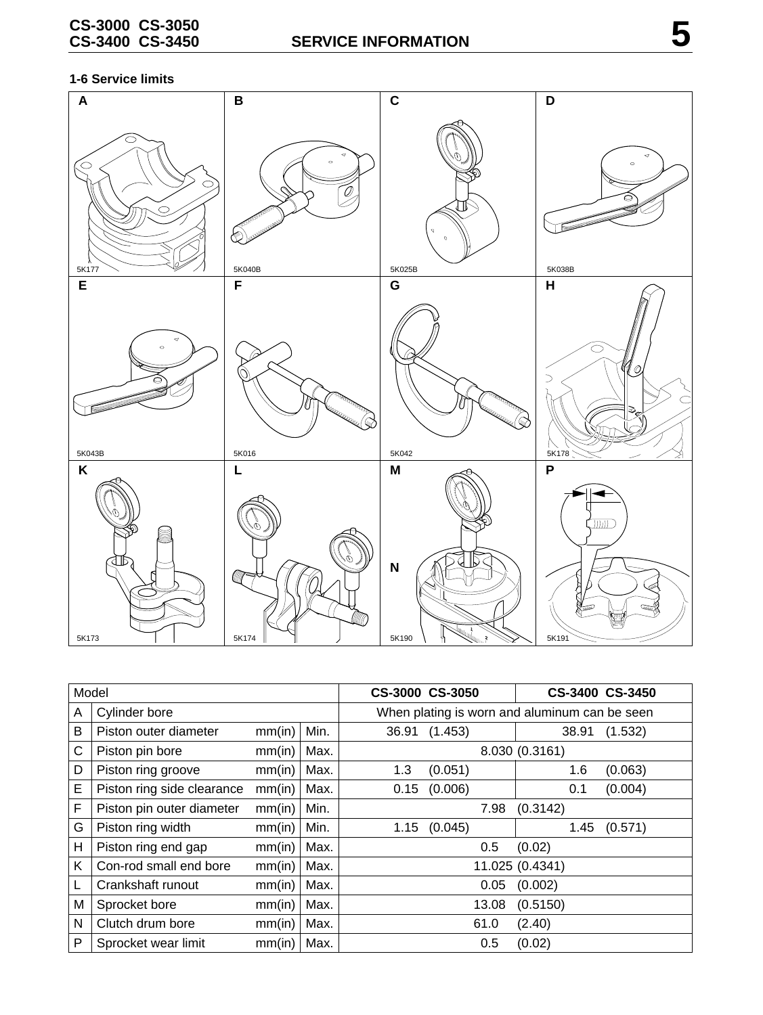#### **1-6 Service limits**



| Model |                            |        |      | CS-3000 CS-3050                               |                  | CS-3400 CS-3450 |         |
|-------|----------------------------|--------|------|-----------------------------------------------|------------------|-----------------|---------|
| A     | Cylinder bore              |        |      | When plating is worn and aluminum can be seen |                  |                 |         |
| B     | Piston outer diameter      | mm(in) | Min. | 36.91                                         | (1.453)          | 38.91           | (1.532) |
| C     | Piston pin bore            | mm(in) | Max. |                                               | 8.030 (0.3161)   |                 |         |
| D     | Piston ring groove         | mm(in) | Max. | 1.3                                           | (0.051)          | 1.6             | (0.063) |
| E     | Piston ring side clearance | mm(in) | Max. |                                               | $0.15$ $(0.006)$ | 0.1             | (0.004) |
| F     | Piston pin outer diameter  | mm(in) | Min. |                                               | 7.98             | (0.3142)        |         |
| G     | Piston ring width          | mm(in) | Min. |                                               | $1.15$ $(0.045)$ | 1.45            | (0.571) |
| Н     | Piston ring end gap        | mm(in) | Max. |                                               | 0.5              | (0.02)          |         |
| K     | Con-rod small end bore     | mm(in) | Max. |                                               |                  | 11.025 (0.4341) |         |
|       | Crankshaft runout          | mm(in) | Max. |                                               | 0.05             | (0.002)         |         |
| M     | Sprocket bore              | mm(in) | Max. |                                               | 13.08            | (0.5150)        |         |
| N     | Clutch drum bore           | mm(in) | Max. |                                               | 61.0             | (2.40)          |         |
| P     | Sprocket wear limit        | mm(in) | Max. |                                               | 0.5              | (0.02)          |         |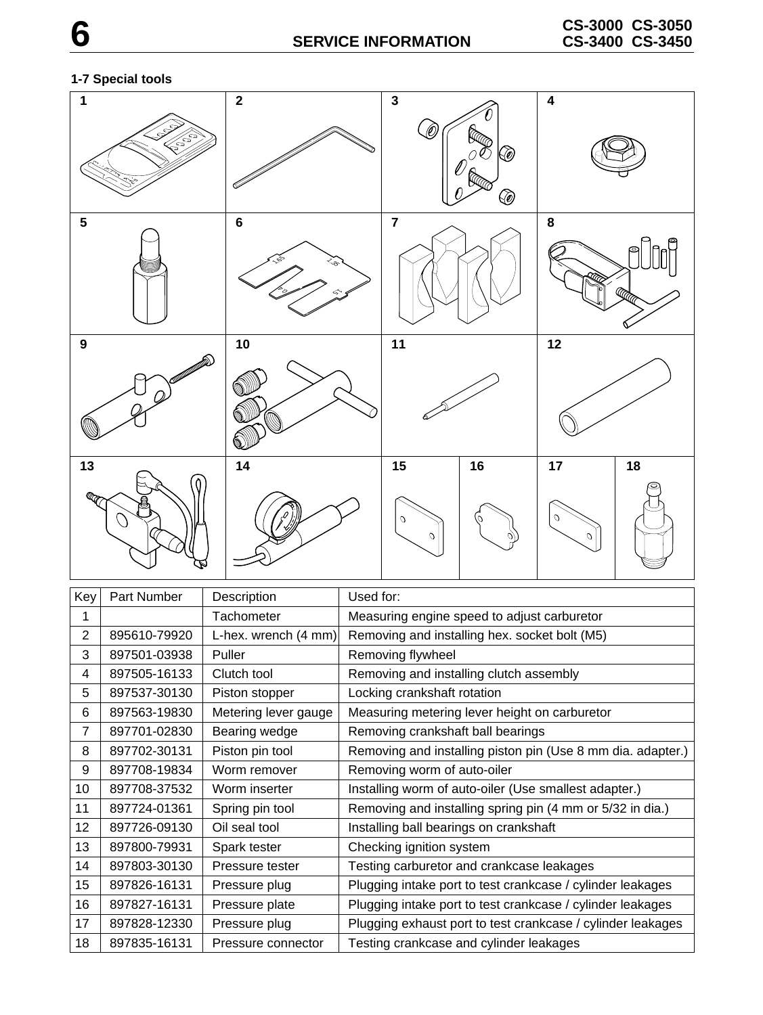## **1-7 Special tools**



| Key            | Part Number  | Description          | Used for:                                                   |
|----------------|--------------|----------------------|-------------------------------------------------------------|
| 1              |              | Tachometer           | Measuring engine speed to adjust carburetor                 |
| $\overline{2}$ | 895610-79920 | L-hex. wrench (4 mm) | Removing and installing hex. socket bolt (M5)               |
| 3              | 897501-03938 | Puller               | Removing flywheel                                           |
| 4              | 897505-16133 | Clutch tool          | Removing and installing clutch assembly                     |
| 5              | 897537-30130 | Piston stopper       | Locking crankshaft rotation                                 |
| 6              | 897563-19830 | Metering lever gauge | Measuring metering lever height on carburetor               |
| 7              | 897701-02830 | Bearing wedge        | Removing crankshaft ball bearings                           |
| 8              | 897702-30131 | Piston pin tool      | Removing and installing piston pin (Use 8 mm dia. adapter.) |
| 9              | 897708-19834 | Worm remover         | Removing worm of auto-oiler                                 |
| 10             | 897708-37532 | Worm inserter        | Installing worm of auto-oiler (Use smallest adapter.)       |
| 11             | 897724-01361 | Spring pin tool      | Removing and installing spring pin (4 mm or 5/32 in dia.)   |
| 12             | 897726-09130 | Oil seal tool        | Installing ball bearings on crankshaft                      |
| 13             | 897800-79931 | Spark tester         | Checking ignition system                                    |
| 14             | 897803-30130 | Pressure tester      | Testing carburetor and crankcase leakages                   |
| 15             | 897826-16131 | Pressure plug        | Plugging intake port to test crankcase / cylinder leakages  |
| 16             | 897827-16131 | Pressure plate       | Plugging intake port to test crankcase / cylinder leakages  |
| 17             | 897828-12330 | Pressure plug        | Plugging exhaust port to test crankcase / cylinder leakages |
| 18             | 897835-16131 | Pressure connector   | Testing crankcase and cylinder leakages                     |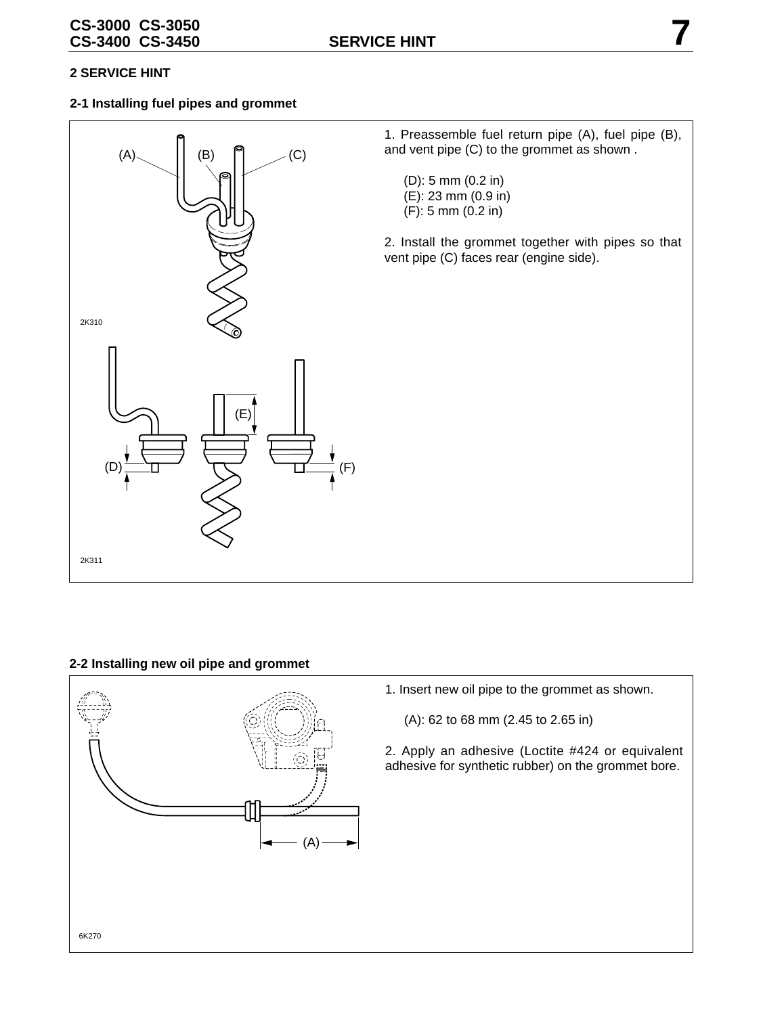#### **2-1 Installing fuel pipes and grommet**



#### **2-2 Installing new oil pipe and grommet**



- 1. Insert new oil pipe to the grommet as shown.
	- (A): 62 to 68 mm (2.45 to 2.65 in)
- 2. Apply an adhesive (Loctite #424 or equivalent adhesive for synthetic rubber) on the grommet bore.